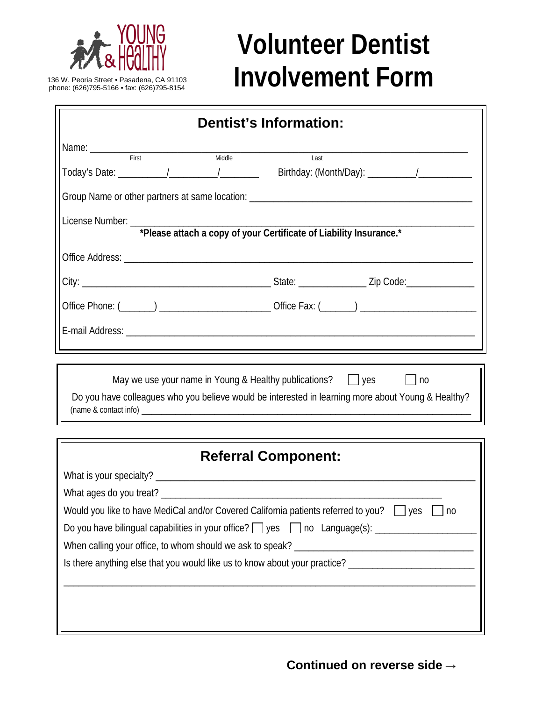

136 W. Peoria Street • Pasadena, CA 91103<br>phone: (626)795-5166 • fax: (626)795-8154

## **Volunteer Dentist Involvement Form**

| Dentist's Information:                                                                                                                                                                 |
|----------------------------------------------------------------------------------------------------------------------------------------------------------------------------------------|
| Name: First                                                                                                                                                                            |
| Middle<br>Last                                                                                                                                                                         |
|                                                                                                                                                                                        |
|                                                                                                                                                                                        |
|                                                                                                                                                                                        |
|                                                                                                                                                                                        |
|                                                                                                                                                                                        |
| and the control of the control of the control of the control of the control of the control of the control of the                                                                       |
| May we use your name in Young & Healthy publications? $\Box$ yes<br>$\vert$   no<br>Do you have colleagues who you believe would be interested in learning more about Young & Healthy? |
| <b>Referral Component:</b>                                                                                                                                                             |
|                                                                                                                                                                                        |
|                                                                                                                                                                                        |
| Would you like to have MediCal and/or Covered California patients referred to you? $\Box$ yes $\Box$ no                                                                                |
| Do you have bilingual capabilities in your office? D yes D no Language(s): ________________________                                                                                    |
|                                                                                                                                                                                        |
| Is there anything else that you would like us to know about your practice? ________________________                                                                                    |
|                                                                                                                                                                                        |
|                                                                                                                                                                                        |
|                                                                                                                                                                                        |

**Continued on reverse side →**